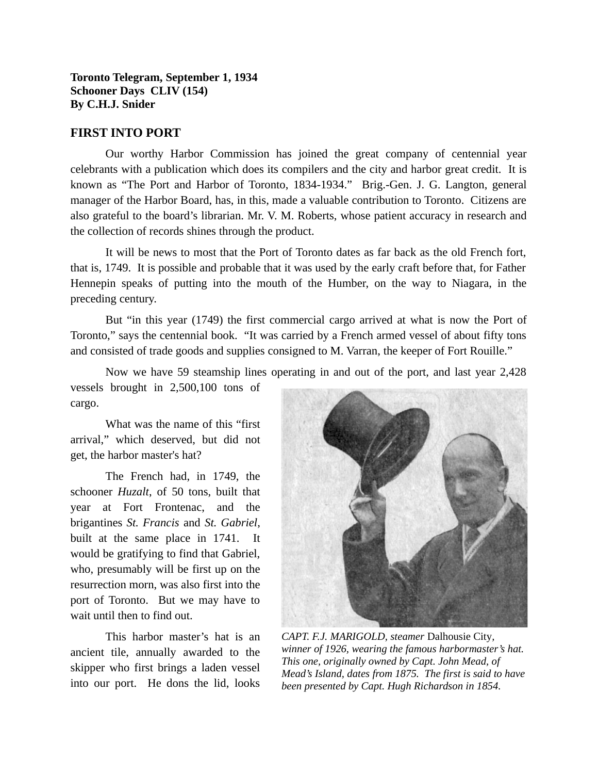## **Toronto Telegram, September 1, 1934 Schooner Days CLIV (154) By C.H.J. Snider**

## **FIRST INTO PORT**

Our worthy Harbor Commission has joined the great company of centennial year celebrants with a publication which does its compilers and the city and harbor great credit. It is known as "The Port and Harbor of Toronto, 1834-1934." Brig.-Gen. J. G. Langton, general manager of the Harbor Board, has, in this, made a valuable contribution to Toronto. Citizens are also grateful to the board's librarian. Mr. V. M. Roberts, whose patient accuracy in research and the collection of records shines through the product.

It will be news to most that the Port of Toronto dates as far back as the old French fort, that is, 1749. It is possible and probable that it was used by the early craft before that, for Father Hennepin speaks of putting into the mouth of the Humber, on the way to Niagara, in the preceding century.

But "in this year (1749) the first commercial cargo arrived at what is now the Port of Toronto," says the centennial book. "It was carried by a French armed vessel of about fifty tons and consisted of trade goods and supplies consigned to M. Varran, the keeper of Fort Rouille."

Now we have 59 steamship lines operating in and out of the port, and last year 2,428

vessels brought in 2,500,100 tons of cargo.

What was the name of this "first arrival," which deserved, but did not get, the harbor master's hat?

The French had, in 1749, the schooner *Huzalt*, of 50 tons, built that year at Fort Frontenac, and the brigantines *St. Francis* and *St. Gabriel*, built at the same place in 1741. It would be gratifying to find that Gabriel, who, presumably will be first up on the resurrection morn, was also first into the port of Toronto. But we may have to wait until then to find out.

This harbor master's hat is an ancient tile, annually awarded to the skipper who first brings a laden vessel into our port. He dons the lid, looks



*CAPT. F.J. MARIGOLD, steamer* Dalhousie City*, winner of 1926, wearing the famous harbormaster's hat. This one, originally owned by Capt. John Mead, of Mead's Island, dates from 1875. The first is said to have been presented by Capt. Hugh Richardson in 1854.*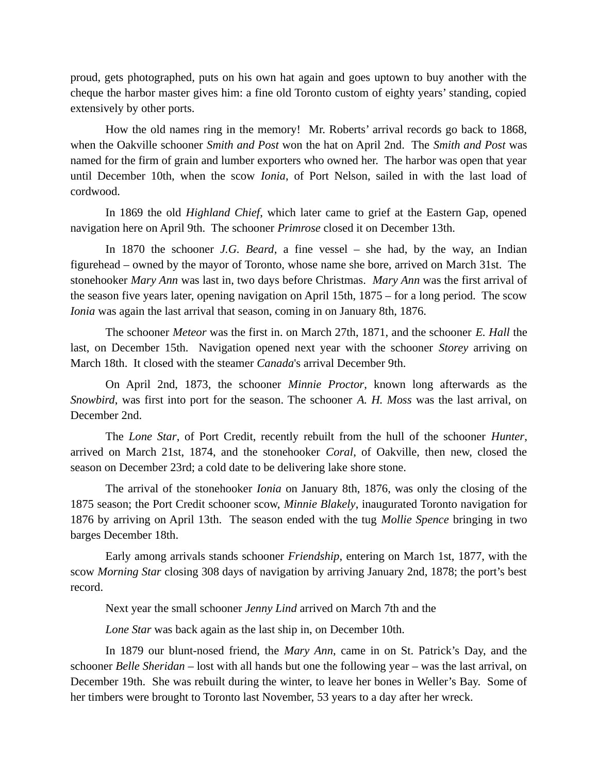proud, gets photographed, puts on his own hat again and goes uptown to buy another with the cheque the harbor master gives him: a fine old Toronto custom of eighty years' standing, copied extensively by other ports.

How the old names ring in the memory! Mr. Roberts' arrival records go back to 1868, when the Oakville schooner *Smith and Post* won the hat on April 2nd. The *Smith and Post* was named for the firm of grain and lumber exporters who owned her. The harbor was open that year until December 10th, when the scow *Ionia*, of Port Nelson, sailed in with the last load of cordwood.

In 1869 the old *Highland Chief*, which later came to grief at the Eastern Gap, opened navigation here on April 9th. The schooner *Primrose* closed it on December 13th.

In 1870 the schooner *J.G. Beard*, a fine vessel – she had, by the way, an Indian figurehead – owned by the mayor of Toronto, whose name she bore, arrived on March 31st. The stonehooker *Mary Ann* was last in, two days before Christmas. *Mary Ann* was the first arrival of the season five years later, opening navigation on April 15th, 1875 – for a long period. The scow *Ionia* was again the last arrival that season, coming in on January 8th, 1876.

The schooner *Meteor* was the first in. on March 27th, 1871, and the schooner *E. Hall* the last, on December 15th. Navigation opened next year with the schooner *Storey* arriving on March 18th. It closed with the steamer *Canada*'s arrival December 9th.

On April 2nd, 1873, the schooner *Minnie Proctor*, known long afterwards as the *Snowbird*, was first into port for the season. The schooner *A. H. Moss* was the last arrival, on December 2nd.

The *Lone Star*, of Port Credit, recently rebuilt from the hull of the schooner *Hunter*, arrived on March 21st, 1874, and the stonehooker *Coral*, of Oakville, then new, closed the season on December 23rd; a cold date to be delivering lake shore stone.

The arrival of the stonehooker *Ionia* on January 8th, 1876, was only the closing of the 1875 season; the Port Credit schooner scow, *Minnie Blakely*, inaugurated Toronto navigation for 1876 by arriving on April 13th. The season ended with the tug *Mollie Spence* bringing in two barges December 18th.

Early among arrivals stands schooner *Friendship*, entering on March 1st, 1877, with the scow *Morning Star* closing 308 days of navigation by arriving January 2nd, 1878; the port's best record.

Next year the small schooner *Jenny Lind* arrived on March 7th and the

*Lone Star* was back again as the last ship in, on December 10th.

In 1879 our blunt-nosed friend, the *Mary Ann*, came in on St. Patrick's Day, and the schooner *Belle Sheridan* – lost with all hands but one the following year – was the last arrival, on December 19th. She was rebuilt during the winter, to leave her bones in Weller's Bay. Some of her timbers were brought to Toronto last November, 53 years to a day after her wreck.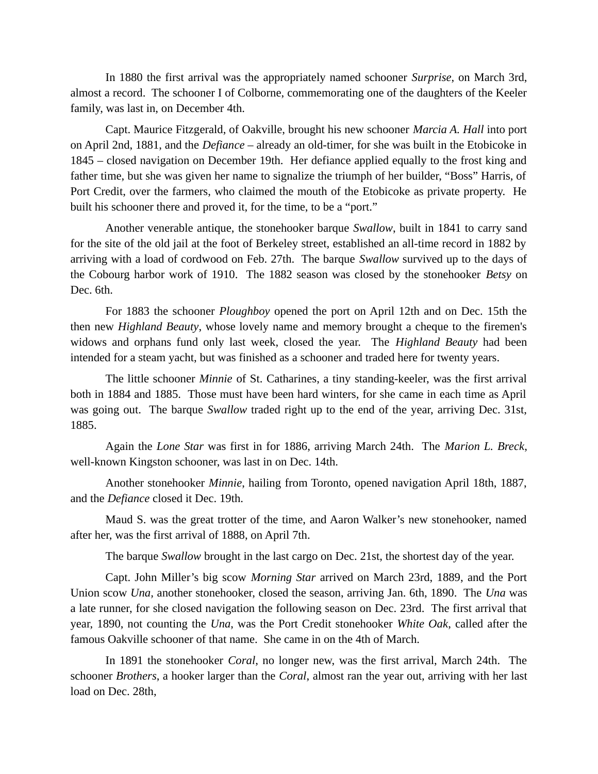In 1880 the first arrival was the appropriately named schooner *Surprise*, on March 3rd, almost a record. The schooner I of Colborne, commemorating one of the daughters of the Keeler family, was last in, on December 4th.

Capt. Maurice Fitzgerald, of Oakville, brought his new schooner *Marcia A. Hall* into port on April 2nd, 1881, and the *Defiance –* already an old-timer, for she was built in the Etobicoke in 1845 *–* closed navigation on December 19th. Her defiance applied equally to the frost king and father time, but she was given her name to signalize the triumph of her builder, "Boss" Harris, of Port Credit, over the farmers, who claimed the mouth of the Etobicoke as private property. He built his schooner there and proved it, for the time, to be a "port."

Another venerable antique, the stonehooker barque *Swallow*, built in 1841 to carry sand for the site of the old jail at the foot of Berkeley street, established an all-time record in 1882 by arriving with a load of cordwood on Feb. 27th. The barque *Swallow* survived up to the days of the Cobourg harbor work of 1910. The 1882 season was closed by the stonehooker *Betsy* on Dec. 6th.

For 1883 the schooner *Ploughboy* opened the port on April 12th and on Dec. 15th the then new *Highland Beauty*, whose lovely name and memory brought a cheque to the firemen's widows and orphans fund only last week, closed the year. The *Highland Beauty* had been intended for a steam yacht, but was finished as a schooner and traded here for twenty years.

The little schooner *Minnie* of St. Catharines, a tiny standing-keeler, was the first arrival both in 1884 and 1885. Those must have been hard winters, for she came in each time as April was going out. The barque *Swallow* traded right up to the end of the year, arriving Dec. 31st, 1885.

Again the *Lone Star* was first in for 1886, arriving March 24th. The *Marion L. Breck*, well-known Kingston schooner, was last in on Dec. 14th.

Another stonehooker *Minnie*, hailing from Toronto, opened navigation April 18th, 1887, and the *Defiance* closed it Dec. 19th.

Maud S. was the great trotter of the time, and Aaron Walker's new stonehooker, named after her, was the first arrival of 1888, on April 7th.

The barque *Swallow* brought in the last cargo on Dec. 21st, the shortest day of the year.

Capt. John Miller's big scow *Morning Star* arrived on March 23rd, 1889, and the Port Union scow *Una,* another stonehooker, closed the season, arriving Jan. 6th, 1890. The *Una* was a late runner, for she closed navigation the following season on Dec. 23rd. The first arrival that year, 1890, not counting the *Una*, was the Port Credit stonehooker *White Oak*, called after the famous Oakville schooner of that name. She came in on the 4th of March.

In 1891 the stonehooker *Coral*, no longer new, was the first arrival, March 24th. The schooner *Brothers*, a hooker larger than the *Coral*, almost ran the year out, arriving with her last load on Dec. 28th,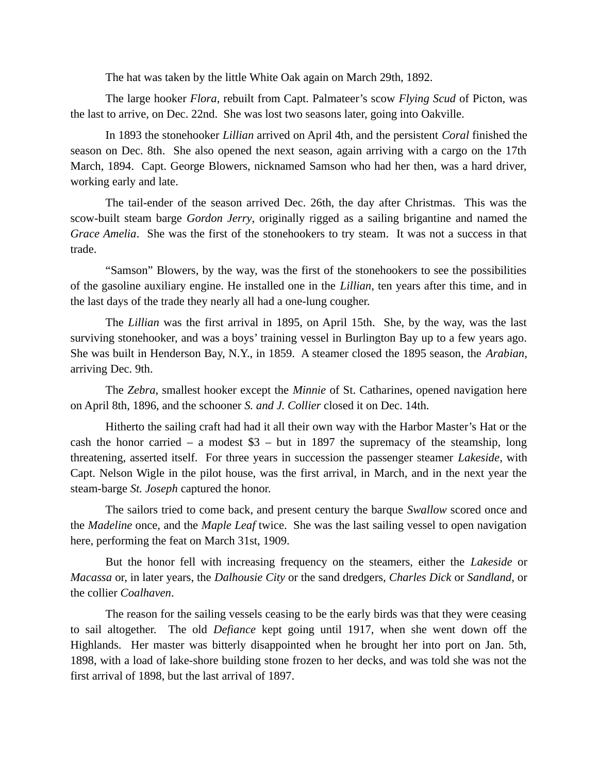The hat was taken by the little White Oak again on March 29th, 1892.

The large hooker *Flora*, rebuilt from Capt. Palmateer's scow *Flying Scud* of Picton, was the last to arrive, on Dec. 22nd. She was lost two seasons later, going into Oakville.

In 1893 the stonehooker *Lillian* arrived on April 4th, and the persistent *Coral* finished the season on Dec. 8th. She also opened the next season, again arriving with a cargo on the 17th March, 1894. Capt. George Blowers, nicknamed Samson who had her then, was a hard driver, working early and late.

The tail-ender of the season arrived Dec. 26th, the day after Christmas. This was the scow-built steam barge *Gordon Jerry*, originally rigged as a sailing brigantine and named the *Grace Amelia*. She was the first of the stonehookers to try steam. It was not a success in that trade.

"Samson" Blowers, by the way, was the first of the stonehookers to see the possibilities of the gasoline auxiliary engine. He installed one in the *Lillian*, ten years after this time, and in the last days of the trade they nearly all had a one-lung cougher.

The *Lillian* was the first arrival in 1895, on April 15th. She, by the way, was the last surviving stonehooker, and was a boys' training vessel in Burlington Bay up to a few years ago. She was built in Henderson Bay, N.Y., in 1859. A steamer closed the 1895 season, the *Arabian*, arriving Dec. 9th.

The *Zebra*, smallest hooker except the *Minnie* of St. Catharines, opened navigation here on April 8th, 1896, and the schooner *S. and J. Collier* closed it on Dec. 14th.

Hitherto the sailing craft had had it all their own way with the Harbor Master's Hat or the cash the honor carried – a modest  $$3$  – but in 1897 the supremacy of the steamship, long threatening, asserted itself. For three years in succession the passenger steamer *Lakeside*, with Capt. Nelson Wigle in the pilot house, was the first arrival, in March, and in the next year the steam-barge *St. Joseph* captured the honor.

The sailors tried to come back, and present century the barque *Swallow* scored once and the *Madeline* once, and the *Maple Leaf* twice. She was the last sailing vessel to open navigation here, performing the feat on March 31st, 1909.

But the honor fell with increasing frequency on the steamers, either the *Lakeside* or *Macassa* or, in later years, the *Dalhousie City* or the sand dredgers, *Charles Dick* or *Sandland*, or the collier *Coalhaven*.

The reason for the sailing vessels ceasing to be the early birds was that they were ceasing to sail altogether. The old *Defiance* kept going until 1917, when she went down off the Highlands. Her master was bitterly disappointed when he brought her into port on Jan. 5th, 1898, with a load of lake-shore building stone frozen to her decks, and was told she was not the first arrival of 1898, but the last arrival of 1897.